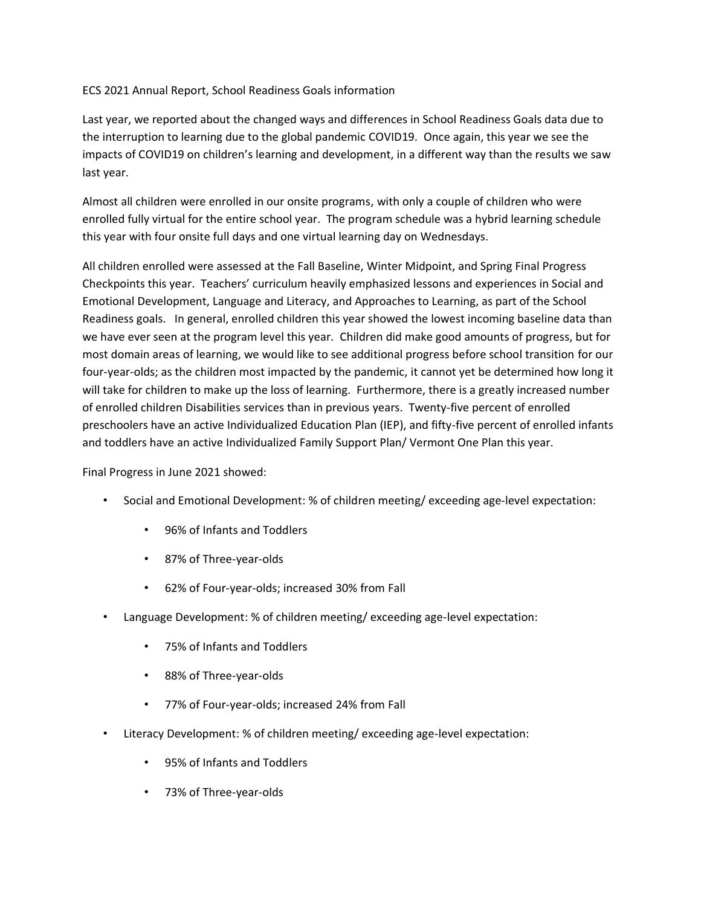ECS 2021 Annual Report, School Readiness Goals information

Last year, we reported about the changed ways and differences in School Readiness Goals data due to the interruption to learning due to the global pandemic COVID19. Once again, this year we see the impacts of COVID19 on children's learning and development, in a different way than the results we saw last year.

Almost all children were enrolled in our onsite programs, with only a couple of children who were enrolled fully virtual for the entire school year. The program schedule was a hybrid learning schedule this year with four onsite full days and one virtual learning day on Wednesdays.

All children enrolled were assessed at the Fall Baseline, Winter Midpoint, and Spring Final Progress Checkpoints this year. Teachers' curriculum heavily emphasized lessons and experiences in Social and Emotional Development, Language and Literacy, and Approaches to Learning, as part of the School Readiness goals. In general, enrolled children this year showed the lowest incoming baseline data than we have ever seen at the program level this year. Children did make good amounts of progress, but for most domain areas of learning, we would like to see additional progress before school transition for our four-year-olds; as the children most impacted by the pandemic, it cannot yet be determined how long it will take for children to make up the loss of learning. Furthermore, there is a greatly increased number of enrolled children Disabilities services than in previous years. Twenty-five percent of enrolled preschoolers have an active Individualized Education Plan (IEP), and fifty-five percent of enrolled infants and toddlers have an active Individualized Family Support Plan/ Vermont One Plan this year.

Final Progress in June 2021 showed:

- Social and Emotional Development: % of children meeting/ exceeding age-level expectation:
	- 96% of Infants and Toddlers
	- 87% of Three-year-olds
	- 62% of Four-year-olds; increased 30% from Fall
- Language Development: % of children meeting/ exceeding age-level expectation:
	- 75% of Infants and Toddlers
	- 88% of Three-year-olds
	- 77% of Four-year-olds; increased 24% from Fall
- Literacy Development: % of children meeting/ exceeding age-level expectation:
	- 95% of Infants and Toddlers
	- 73% of Three-year-olds